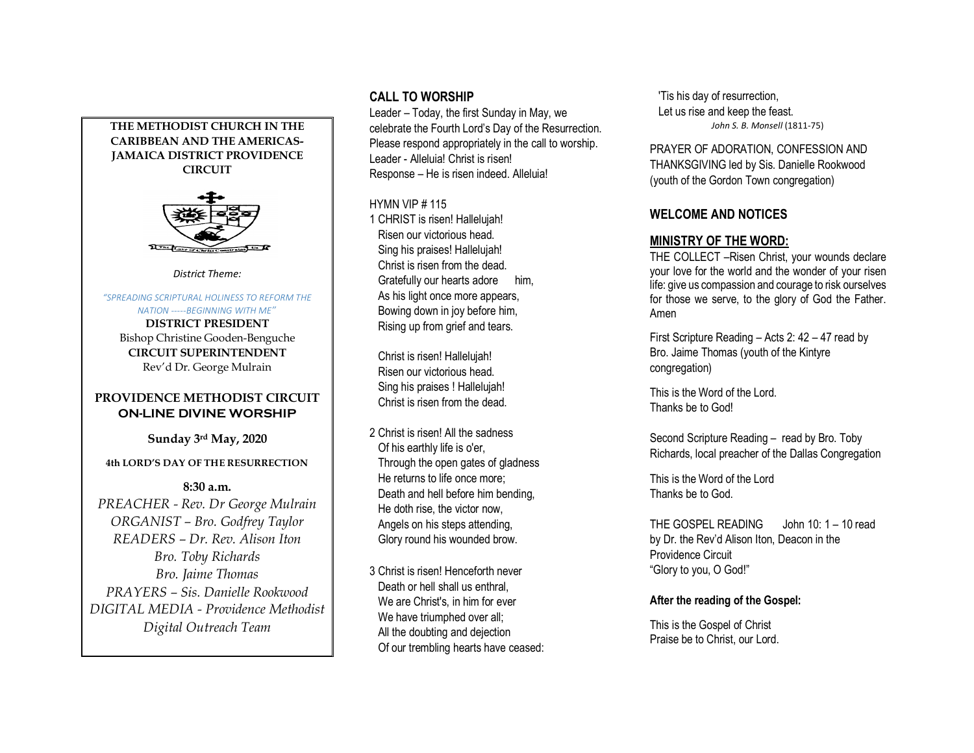### **THE METHODIST CHURCH IN THE CARIBBEAN AND THE AMERICAS-JAMAICA DISTRICT PROVIDENCE CIRCUIT**



*District Theme:*

#### *"SPREADING SCRIPTURAL HOLINESS TO REFORM THE NATION -----BEGINNING WITH ME"*

**DISTRICT PRESIDENT**  Bishop Christine Gooden-Benguche **CIRCUIT SUPERINTENDENT** Rev'd Dr. George Mulrain

## **PROVIDENCE METHODIST CIRCUIT ON-LINE DIVINE WORSHIP**

**Sunday 3rd May, 2020**

## **4th LORD'S DAY OF THE RESURRECTION**

# **8:30 a.m.**

*PREACHER - Rev. Dr George Mulrain ORGANIST – Bro. Godfrey Taylor READERS – Dr. Rev. Alison Iton Bro. Toby Richards Bro. Jaime Thomas PRAYERS – Sis. Danielle Rookwood DIGITAL MEDIA - Providence Methodist Digital Outreach Team*

# **CALL TO WORSHIP**

Leader – Today, the first Sunday in May, we celebrate the Fourth Lord's Day of the Resurrection. Please respond appropriately in the call to worship. Leader - Alleluia! Christ is risen! Response – He is risen indeed. Alleluia!

### HYMN VIP # 115

1 CHRIST is risen! Hallelujah! Risen our victorious head. Sing his praises! Hallelujah! Christ is risen from the dead. Gratefully our hearts adore him, As his light once more appears, Bowing down in joy before him, Rising up from grief and tears.

 Christ is risen! Hallelujah! Risen our victorious head. Sing his praises ! Hallelujah! Christ is risen from the dead.

2 Christ is risen! All the sadness Of his earthly life is o'er, Through the open gates of gladness He returns to life once more; Death and hell before him bending, He doth rise, the victor now, Angels on his steps attending, Glory round his wounded brow.

3 Christ is risen! Henceforth never Death or hell shall us enthral. We are Christ's, in him for ever We have triumphed over all; All the doubting and dejection Of our trembling hearts have ceased:  'Tis his day of resurrection, Let us rise and keep the feast. *John S. B. Monsell* (1811-75)

PRAYER OF ADORATION, CONFESSION AND THANKSGIVING led by Sis. Danielle Rookwood (youth of the Gordon Town congregation)

# **WELCOME AND NOTICES**

# **MINISTRY OF THE WORD:**

THE COLLECT –Risen Christ, your wounds declare your love for the world and the wonder of your risen life: give us compassion and courage to risk ourselves for those we serve, to the glory of God the Father. Amen

First Scripture Reading – Acts 2: 42 – 47 read by Bro. Jaime Thomas (youth of the Kintyre congregation)

This is the Word of the Lord. Thanks be to God!

Second Scripture Reading – read by Bro. Toby Richards, local preacher of the Dallas Congregation

This is the Word of the Lord Thanks be to God.

THE GOSPEL READING John 10: 1 – 10 read by Dr. the Rev'd Alison Iton, Deacon in the Providence Circuit "Glory to you, O God!"

## **After the reading of the Gospel:**

This is the Gospel of Christ Praise be to Christ, our Lord.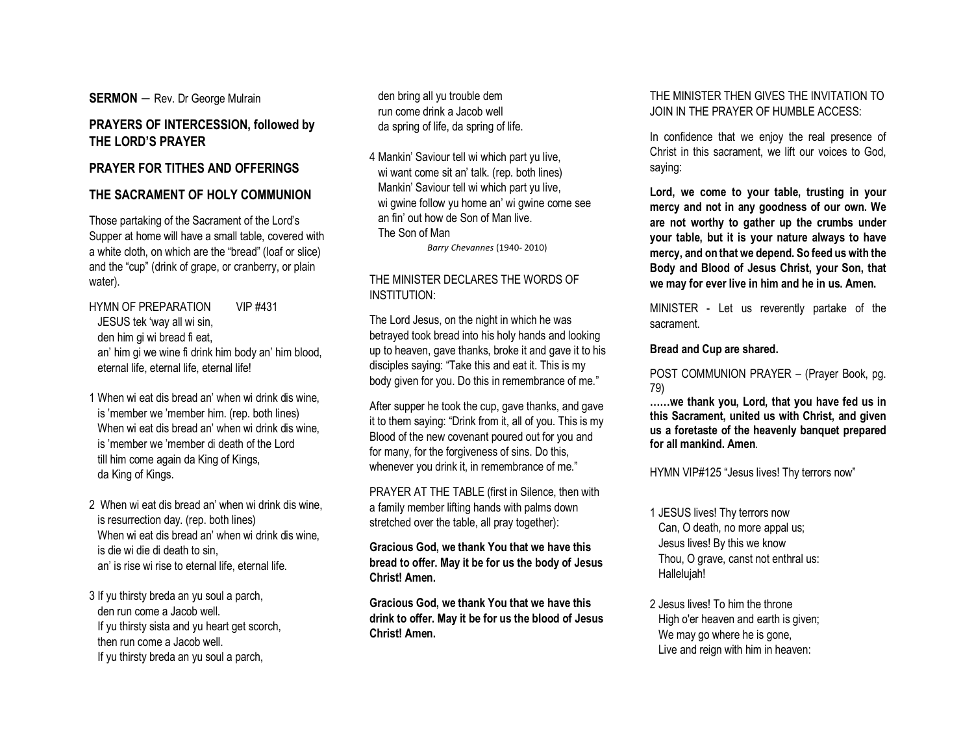**SERMON** – Rev. Dr George Mulrain

# **PRAYERS OF INTERCESSION, followed by THE LORD'S PRAYER**

### **PRAYER FOR TITHES AND OFFERINGS**

# **THE SACRAMENT OF HOLY COMMUNION**

Those partaking of the Sacrament of the Lord's Supper at home will have a small table, covered with a white cloth, on which are the "bread" (loaf or slice) and the "cup" (drink of grape, or cranberry, or plain water).

HYMN OF PREPARATION VIP #431 JESUS tek 'way all wi sin, den him gi wi bread fi eat, an' him gi we wine fi drink him body an' him blood, eternal life, eternal life, eternal life!

- 1 When wi eat dis bread an' when wi drink dis wine, is 'member we 'member him. (rep. both lines) When wi eat dis bread an' when wi drink dis wine. is 'member we 'member di death of the Lord till him come again da King of Kings, da King of Kings.
- 2 When wi eat dis bread an' when wi drink dis wine, is resurrection day. (rep. both lines) When wi eat dis bread an' when wi drink dis wine. is die wi die di death to sin, an' is rise wi rise to eternal life, eternal life.
- 3 If yu thirsty breda an yu soul a parch, den run come a Jacob well. If yu thirsty sista and yu heart get scorch, then run come a Jacob well. If yu thirsty breda an yu soul a parch,

 den bring all yu trouble dem run come drink a Jacob well da spring of life, da spring of life.

4 Mankin' Saviour tell wi which part yu live, wi want come sit an' talk. (rep. both lines) Mankin' Saviour tell wi which part yu live, wi gwine follow yu home an' wi gwine come see an fin' out how de Son of Man live. The Son of Man *Barry Chevannes* (1940- 2010)

# THE MINISTER DECLARES THE WORDS OF INSTITUTION:

The Lord Jesus, on the night in which he was betrayed took bread into his holy hands and looking up to heaven, gave thanks, broke it and gave it to his disciples saying: "Take this and eat it. This is my body given for you. Do this in remembrance of me."

After supper he took the cup, gave thanks, and gave it to them saying: "Drink from it, all of you. This is my Blood of the new covenant poured out for you and for many, for the forgiveness of sins. Do this, whenever you drink it, in remembrance of me."

PRAYER AT THE TABLE (first in Silence, then with a family member lifting hands with palms down stretched over the table, all pray together):

**Gracious God, we thank You that we have this bread to offer. May it be for us the body of Jesus Christ! Amen.**

**Gracious God, we thank You that we have this drink to offer. May it be for us the blood of Jesus Christ! Amen.**

# THE MINISTER THEN GIVES THE INVITATION TO JOIN IN THE PRAYER OF HUMBLE ACCESS:

In confidence that we enjoy the real presence of Christ in this sacrament, we lift our voices to God, saying:

**Lord, we come to your table, trusting in your mercy and not in any goodness of our own. We are not worthy to gather up the crumbs under your table, but it is your nature always to have mercy, and on that we depend. So feed us with the Body and Blood of Jesus Christ, your Son, that we may for ever live in him and he in us. Amen.**

MINISTER - Let us reverently partake of the sacrament.

#### **Bread and Cup are shared.**

POST COMMUNION PRAYER – (Prayer Book, pg. 79)

**……we thank you, Lord, that you have fed us in this Sacrament, united us with Christ, and given us a foretaste of the heavenly banquet prepared for all mankind. Amen**.

HYMN VIP#125 "Jesus lives! Thy terrors now"

- 1 JESUS lives! Thy terrors now Can, O death, no more appal us; Jesus lives! By this we know Thou, O grave, canst not enthral us: Hallelujah!
- 2 Jesus lives! To him the throne High o'er heaven and earth is given; We may go where he is gone, Live and reign with him in heaven: